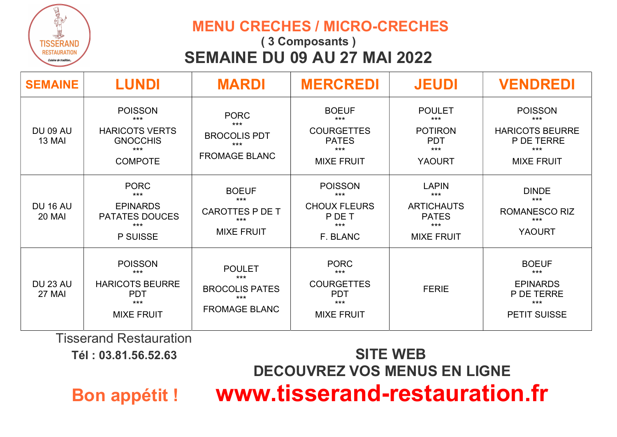

#### MENU CRECHES / MICRO-CRECHES

# ( 3 Composants ) SEMAINE DU 09 AU 27 MAI 2022

| <b>SEMAINE</b>                   | <b>LUNDI</b>                                                                                   | <b>MARDI</b>                                                                     | <b>MERCREDI</b>                                                                          | <b>JEUDI</b>                                                                             | <b>VENDREDI</b>                                                                               |
|----------------------------------|------------------------------------------------------------------------------------------------|----------------------------------------------------------------------------------|------------------------------------------------------------------------------------------|------------------------------------------------------------------------------------------|-----------------------------------------------------------------------------------------------|
| <b>DU 09 AU</b><br><b>13 MAI</b> | <b>POISSON</b><br>$***$<br><b>HARICOTS VERTS</b><br><b>GNOCCHIS</b><br>$***$<br><b>COMPOTE</b> | <b>PORC</b><br>$***$<br><b>BROCOLIS PDT</b><br>$***$<br><b>FROMAGE BLANC</b>     | <b>BOEUF</b><br>$***$<br><b>COURGETTES</b><br><b>PATES</b><br>$***$<br><b>MIXE FRUIT</b> | <b>POULET</b><br>$***$<br><b>POTIRON</b><br><b>PDT</b><br>$***$<br><b>YAOURT</b>         | <b>POISSON</b><br>$***$<br><b>HARICOTS BEURRE</b><br>P DE TERRE<br>$***$<br><b>MIXE FRUIT</b> |
| <b>DU 16 AU</b><br>20 MAI        | <b>PORC</b><br>$***$<br><b>EPINARDS</b><br><b>PATATES DOUCES</b><br>$***$<br><b>P SUISSE</b>   | <b>BOEUF</b><br>$***$<br>CAROTTES P DE T<br>$***$<br><b>MIXE FRUIT</b>           | <b>POISSON</b><br>$***$<br><b>CHOUX FLEURS</b><br>P DE T<br>$***$<br>F. BLANC            | <b>LAPIN</b><br>$***$<br><b>ARTICHAUTS</b><br><b>PATES</b><br>$***$<br><b>MIXE FRUIT</b> | <b>DINDE</b><br>$***$<br><b>ROMANESCO RIZ</b><br>$***$<br><b>YAOURT</b>                       |
| <b>DU 23 AU</b><br>27 MAI        | <b>POISSON</b><br>$***$<br><b>HARICOTS BEURRE</b><br><b>PDT</b><br>$***$<br><b>MIXE FRUIT</b>  | <b>POULET</b><br>$***$<br><b>BROCOLIS PATES</b><br>$***$<br><b>FROMAGE BLANC</b> | <b>PORC</b><br>$***$<br><b>COURGETTES</b><br><b>PDT</b><br>$***$<br><b>MIXE FRUIT</b>    | <b>FERIE</b>                                                                             | <b>BOEUF</b><br>$***$<br><b>EPINARDS</b><br>P DE TERRE<br>$***$<br><b>PETIT SUISSE</b>        |

Tisserand Restauration

# Tél : 03.81.56.52.63 SITE WEB DECOUVREZ VOS MENUS EN LIGNE Bon appétit ! www.tisserand-restauration.fr